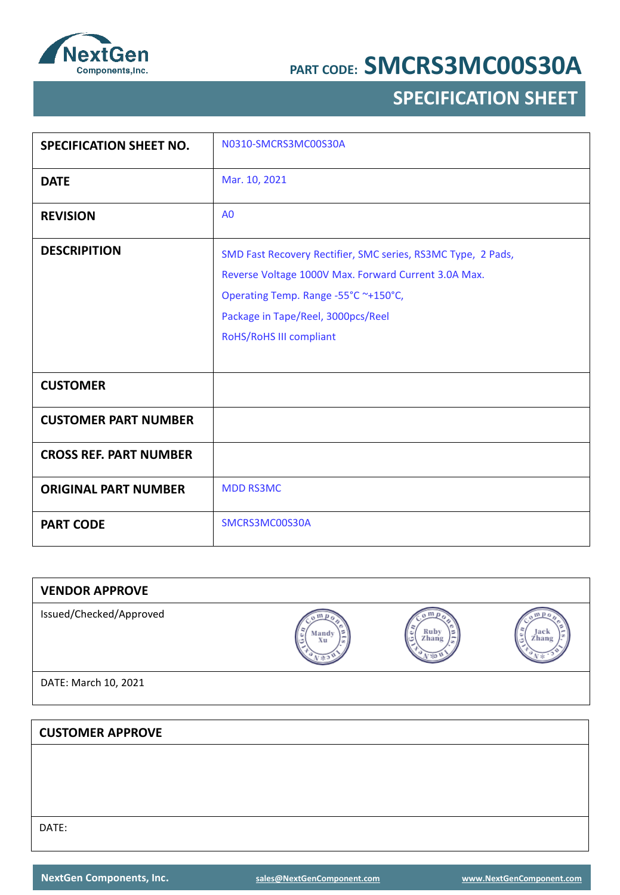

### **SPECIFICATION SHEET**

| <b>SPECIFICATION SHEET NO.</b> | N0310-SMCRS3MC00S30A                                                                                                                                                                                                          |
|--------------------------------|-------------------------------------------------------------------------------------------------------------------------------------------------------------------------------------------------------------------------------|
| <b>DATE</b>                    | Mar. 10, 2021                                                                                                                                                                                                                 |
| <b>REVISION</b>                | A <sub>0</sub>                                                                                                                                                                                                                |
| <b>DESCRIPITION</b>            | SMD Fast Recovery Rectifier, SMC series, RS3MC Type, 2 Pads,<br>Reverse Voltage 1000V Max. Forward Current 3.0A Max.<br>Operating Temp. Range -55°C ~+150°C,<br>Package in Tape/Reel, 3000pcs/Reel<br>RoHS/RoHS III compliant |
| <b>CUSTOMER</b>                |                                                                                                                                                                                                                               |
| <b>CUSTOMER PART NUMBER</b>    |                                                                                                                                                                                                                               |
| <b>CROSS REF. PART NUMBER</b>  |                                                                                                                                                                                                                               |
| <b>ORIGINAL PART NUMBER</b>    | <b>MDD RS3MC</b>                                                                                                                                                                                                              |
| <b>PART CODE</b>               | SMCRS3MC00S30A                                                                                                                                                                                                                |

| <b>VENDOR APPROVE</b>   |             |                    |               |
|-------------------------|-------------|--------------------|---------------|
| Issued/Checked/Approved | Mandy<br>Xu | Ruby<br>Zhang<br>٥ | Jack<br>Zhang |
| DATE: March 10, 2021    |             |                    |               |
|                         |             |                    |               |
| <b>CUSTOMER APPROVE</b> |             |                    |               |
|                         |             |                    |               |
|                         |             |                    |               |
|                         |             |                    |               |
|                         |             |                    |               |

DATE: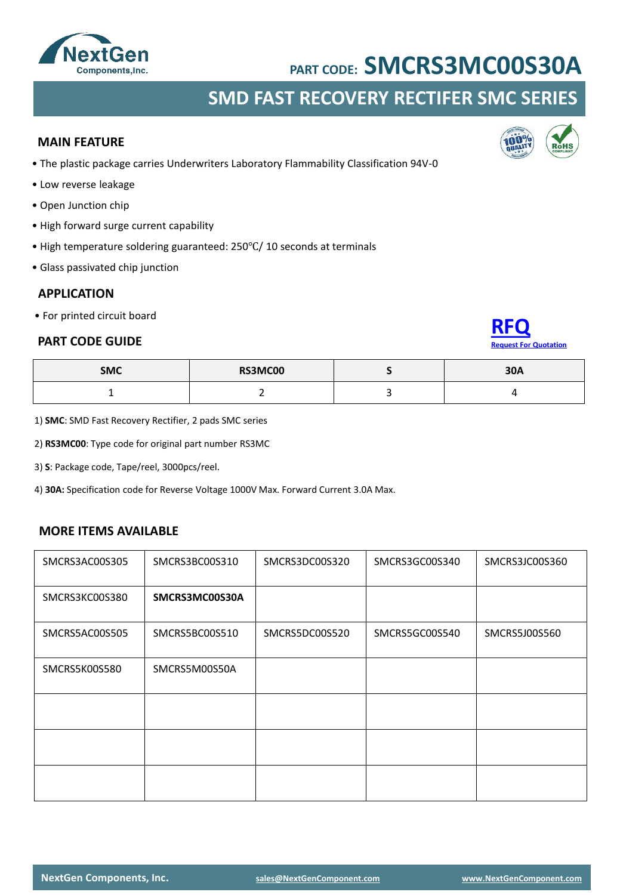### • The plastic package carries Underwriters Laboratory Flammability Classification 94V-0 • Low reverse leakage

Components, Inc.

• Open Junction chip

**MAIN FEATURE**

- High forward surge current capability
- High temperature soldering guaranteed: 250℃/ 10 seconds at terminals
- Glass passivated chip junction

### **APPLICATION**

• For printed circuit board

### **PART CODE GUIDE**

|  | 1) <b>SMC</b> : SMD Fast Recovery Rectifier, 2 pads SMC series |
|--|----------------------------------------------------------------|

2) **RS3MC00**: Type code for original part number RS3MC

3) **S**: Package code, Tape/reel, 3000pcs/reel.

4) **30A:** Specification code for Reverse Voltage 1000V Max. Forward Current 3.0A Max.

### **MORE ITEMS AVAILABLE**

| SMCRS3AC00S305 | SMCRS3BC00S310 | SMCRS3DC00S320 | SMCRS3GC00S340 | SMCRS3JC00S360 |
|----------------|----------------|----------------|----------------|----------------|
| SMCRS3KC00S380 | SMCRS3MC00S30A |                |                |                |
| SMCRS5AC00S505 | SMCRS5BC00S510 | SMCRS5DC00S520 | SMCRS5GC00S540 | SMCRS5J00S560  |
| SMCRS5K00S580  | SMCRS5M00S50A  |                |                |                |
|                |                |                |                |                |
|                |                |                |                |                |
|                |                |                |                |                |

**SMC RS3MC00 S 30A** 1 2 3 4







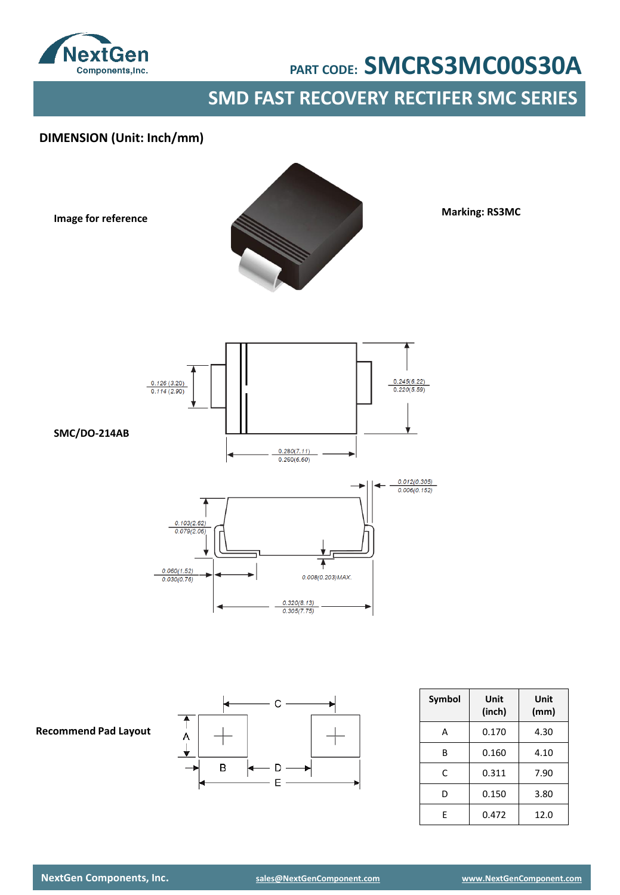

**SMD FAST RECOVERY RECTIFER SMC SERIES**

### **DIMENSION (Unit: Inch/mm)**

**Image for reference**



**Marking: RS3MC**



C **Recommend Pad Layout** А ₩  $\, {\bf B}$  $D -$ ₱ E

| Symbol | Unit<br>(inch) | Unit<br>(mm) |
|--------|----------------|--------------|
| А      | 0.170          | 4.30         |
| R      | 0.160          | 4.10         |
| C      | 0.311          | 7.90         |
| D      | 0.150          | 3.80         |
| F      | 0.472          | 12.0         |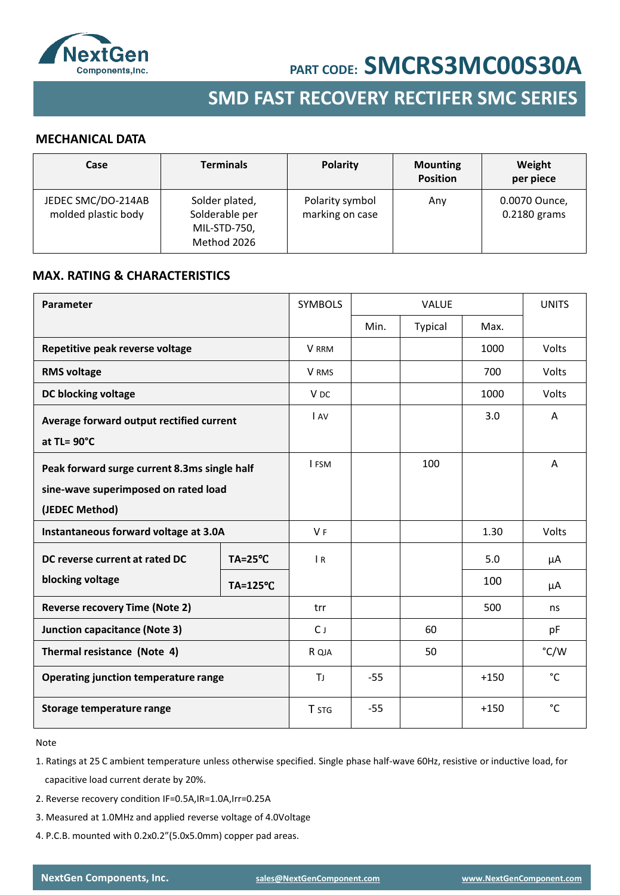

### **SMD FAST RECOVERY RECTIFER SMC SERIES**

#### **MECHANICAL DATA**

| Case                                      | <b>Terminals</b>                                                | <b>Polarity</b>                    | <b>Mounting</b><br><b>Position</b> | Weight<br>per piece           |
|-------------------------------------------|-----------------------------------------------------------------|------------------------------------|------------------------------------|-------------------------------|
| JEDEC SMC/DO-214AB<br>molded plastic body | Solder plated,<br>Solderable per<br>MIL-STD-750,<br>Method 2026 | Polarity symbol<br>marking on case | Any                                | 0.0070 Ounce,<br>0.2180 grams |

#### **MAX. RATING & CHARACTERISTICS**

| Parameter                                    |                    | <b>SYMBOLS</b>  | <b>VALUE</b> |         |        | <b>UNITS</b> |
|----------------------------------------------|--------------------|-----------------|--------------|---------|--------|--------------|
|                                              |                    |                 | Min.         | Typical | Max.   |              |
| Repetitive peak reverse voltage              |                    | V RRM           |              |         | 1000   | Volts        |
| <b>RMS voltage</b>                           |                    | V RMS           |              |         | 700    | Volts        |
| DC blocking voltage                          |                    | V <sub>DC</sub> |              |         | 1000   | Volts        |
| Average forward output rectified current     |                    | <b>I</b> AV     |              |         | 3.0    | A            |
| at $TL = 90^{\circ}C$                        |                    |                 |              |         |        |              |
| Peak forward surge current 8.3ms single half |                    | I FSM           |              | 100     |        | A            |
| sine-wave superimposed on rated load         |                    |                 |              |         |        |              |
| (JEDEC Method)                               |                    |                 |              |         |        |              |
| Instantaneous forward voltage at 3.0A        |                    | <b>VF</b>       |              |         | 1.30   | Volts        |
| DC reverse current at rated DC               | $TA = 25^{\circ}C$ |                 |              |         | 5.0    | μA           |
| blocking voltage                             | $TA = 125$ °C      |                 |              |         | 100    | μA           |
| <b>Reverse recovery Time (Note 2)</b>        |                    | trr             |              |         | 500    | ns           |
| Junction capacitance (Note 3)                |                    | C J             |              | 60      |        | pF           |
| Thermal resistance (Note 4)                  |                    | R QJA           |              | 50      |        | °C/W         |
| <b>Operating junction temperature range</b>  |                    | ΤJ              | $-55$        |         | $+150$ | °C           |
| Storage temperature range                    |                    | <b>T</b> STG    | $-55$        |         | $+150$ | °C           |

Note

1. Ratings at 25 C ambient temperature unless otherwise specified. Single phase half-wave 60Hz, resistive or inductive load, for capacitive load current derate by 20%.

2. Reverse recovery condition IF=0.5A,IR=1.0A,Irr=0.25A

- 3. Measured at 1.0MHz and applied reverse voltage of 4.0Voltage
- 4. P.C.B. mounted with 0.2x0.2"(5.0x5.0mm) copper pad areas.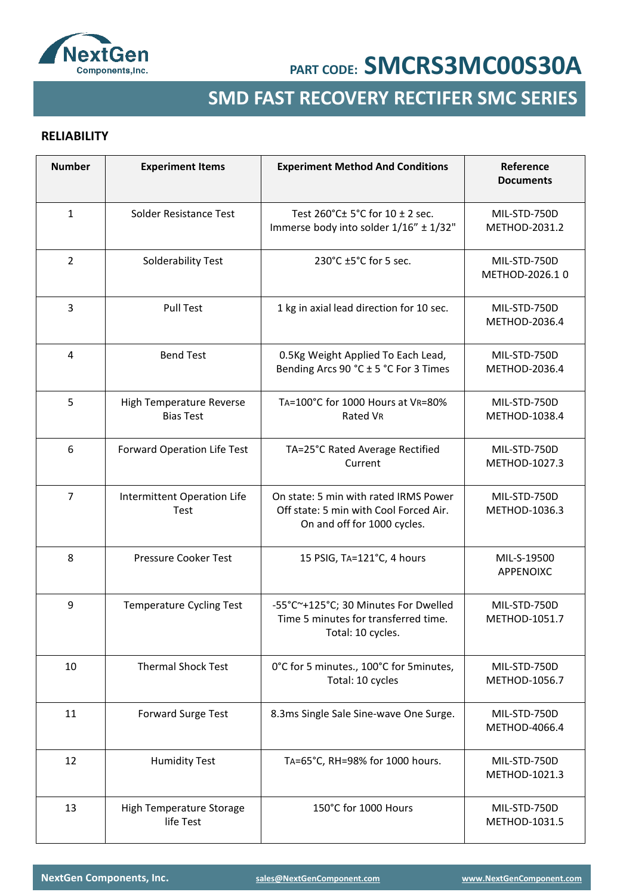

## **SMD FAST RECOVERY RECTIFER SMC SERIES**

### **RELIABILITY**

| <b>Number</b>           | <b>Experiment Items</b>                      | <b>Experiment Method And Conditions</b>                                                                        | Reference<br><b>Documents</b>  |
|-------------------------|----------------------------------------------|----------------------------------------------------------------------------------------------------------------|--------------------------------|
| $\mathbf{1}$            | Solder Resistance Test                       | Test 260°C± 5°C for 10 ± 2 sec.<br>Immerse body into solder 1/16" ± 1/32"                                      | MIL-STD-750D<br>METHOD-2031.2  |
| 2                       | Solderability Test                           | 230°C ±5°C for 5 sec.                                                                                          | MIL-STD-750D<br>METHOD-2026.10 |
| 3                       | <b>Pull Test</b>                             | 1 kg in axial lead direction for 10 sec.                                                                       | MIL-STD-750D<br>METHOD-2036.4  |
| $\overline{\mathbf{4}}$ | <b>Bend Test</b>                             | 0.5Kg Weight Applied To Each Lead,<br>Bending Arcs 90 °C ± 5 °C For 3 Times                                    | MIL-STD-750D<br>METHOD-2036.4  |
| 5                       | High Temperature Reverse<br><b>Bias Test</b> | TA=100°C for 1000 Hours at VR=80%<br>Rated VR                                                                  | MIL-STD-750D<br>METHOD-1038.4  |
| 6                       | Forward Operation Life Test                  | TA=25°C Rated Average Rectified<br>Current                                                                     | MIL-STD-750D<br>METHOD-1027.3  |
| $\overline{7}$          | Intermittent Operation Life<br>Test          | On state: 5 min with rated IRMS Power<br>Off state: 5 min with Cool Forced Air.<br>On and off for 1000 cycles. | MIL-STD-750D<br>METHOD-1036.3  |
| 8                       | Pressure Cooker Test                         | 15 PSIG, TA=121°C, 4 hours                                                                                     | MIL-S-19500<br>APPENOIXC       |
| 9                       | <b>Temperature Cycling Test</b>              | -55°C~+125°C; 30 Minutes For Dwelled<br>Time 5 minutes for transferred time.<br>Total: 10 cycles.              | MIL-STD-750D<br>METHOD-1051.7  |
| 10                      | <b>Thermal Shock Test</b>                    | 0°C for 5 minutes., 100°C for 5 minutes,<br>Total: 10 cycles                                                   | MIL-STD-750D<br>METHOD-1056.7  |
| 11                      | Forward Surge Test                           | 8.3ms Single Sale Sine-wave One Surge.                                                                         | MIL-STD-750D<br>METHOD-4066.4  |
| 12                      | <b>Humidity Test</b>                         | TA=65°C, RH=98% for 1000 hours.                                                                                | MIL-STD-750D<br>METHOD-1021.3  |
| 13                      | High Temperature Storage<br>life Test        | 150°C for 1000 Hours                                                                                           | MIL-STD-750D<br>METHOD-1031.5  |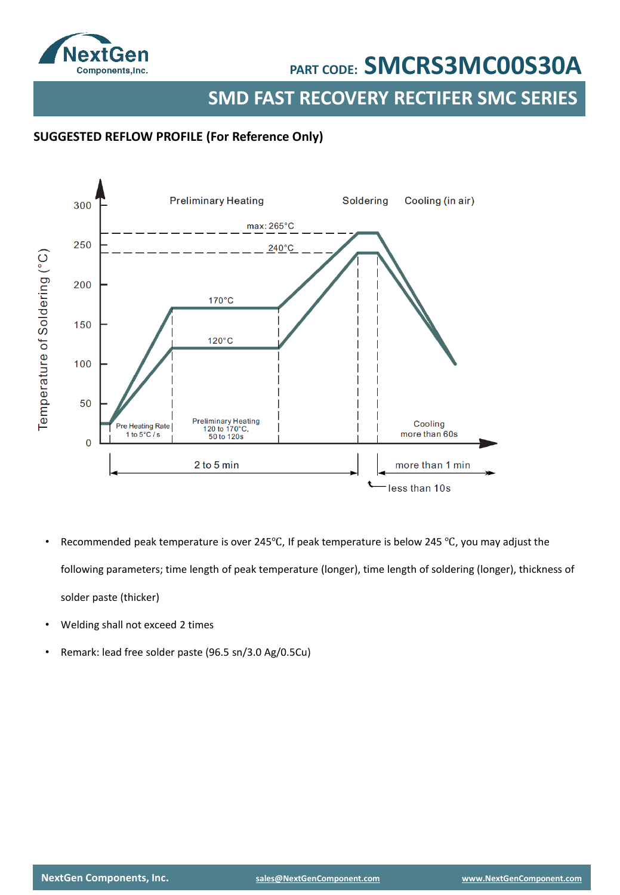

**SMD FAST RECOVERY RECTIFER SMC SERIES**

### **SUGGESTED REFLOW PROFILE (For Reference Only)**



- Recommended peak temperature is over 245°C, If peak temperature is below 245 °C, you may adjust the following parameters; time length of peak temperature (longer), time length of soldering (longer), thickness of solder paste (thicker)
- Welding shall not exceed 2 times
- Remark: lead free solder paste (96.5 sn/3.0 Ag/0.5Cu)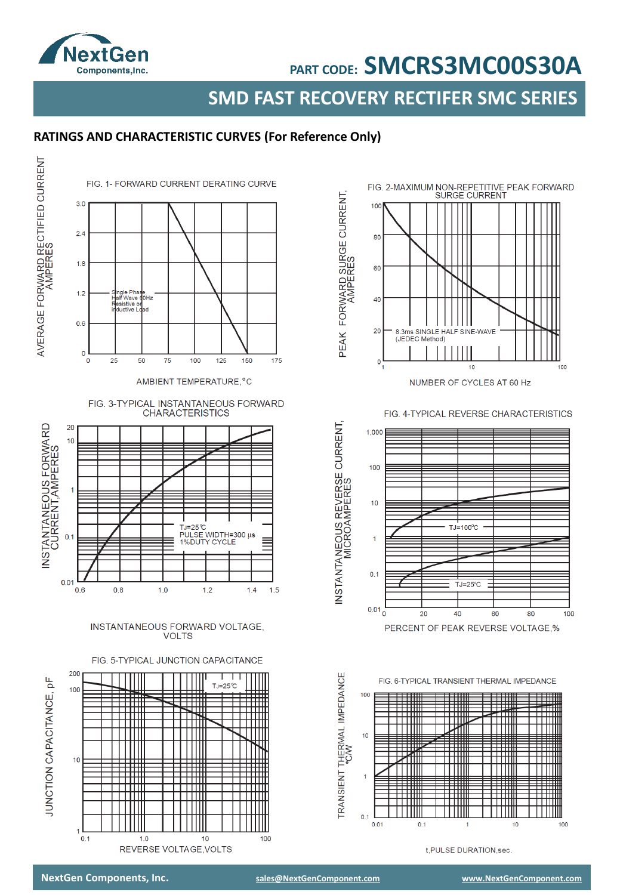

**SMD FAST RECOVERY RECTIFER SMC SERIES**

### **RATINGS AND CHARACTERISTIC CURVES (For Reference Only)**



FIG. 3-TYPICAL INSTANTANEOUS FORWARD **CHARACTERISTICS** 



INSTANTANEOUS FORWARD VOLTAGE, **VOLTS** 







FIG. 4-TYPICAL REVERSE CHARACTERISTICS





t, PULSE DURATION, sec.

**NextGen Components, Inc. [sales@NextGenComponent.com](mailto:sales@NextGenComponent.com) [www.NextGenComponent.com](http://www.nextgencomponent.com/)**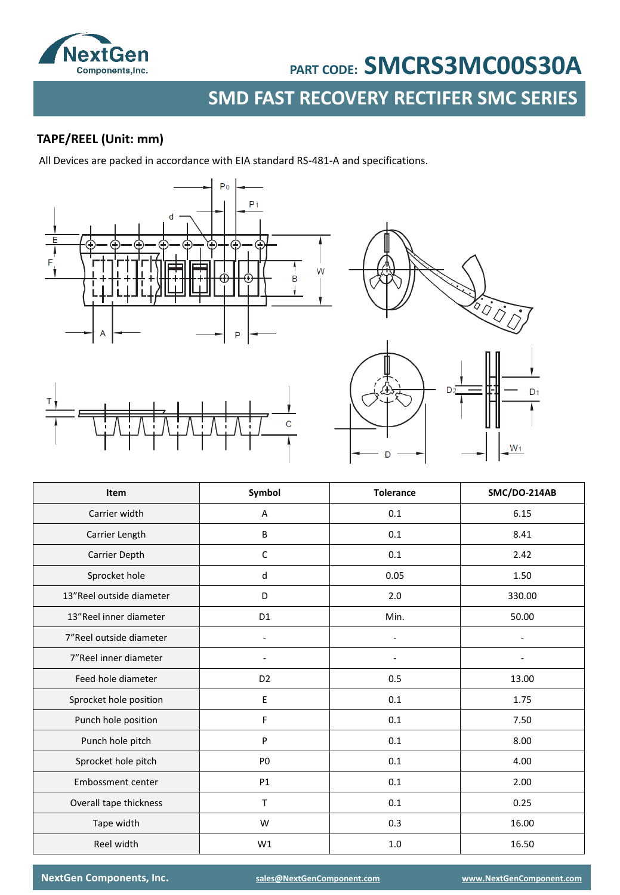

**SMD FAST RECOVERY RECTIFER SMC SERIES** 

### **TAPE/REEL (Unit: mm)**

All Devices are packed in accordance with EIA standard RS-481-A and specifications.





| Item                     | Symbol         | <b>Tolerance</b> | SMC/DO-214AB |
|--------------------------|----------------|------------------|--------------|
| Carrier width            | Α              | 0.1              | 6.15         |
| Carrier Length           | B              | 0.1              | 8.41         |
| Carrier Depth            | $\mathsf{C}$   | 0.1              | 2.42         |
| Sprocket hole            | d              | 0.05             | 1.50         |
| 13"Reel outside diameter | D              | 2.0              | 330.00       |
| 13"Reel inner diameter   | D <sub>1</sub> | Min.             | 50.00        |
| 7"Reel outside diameter  |                |                  |              |
| 7"Reel inner diameter    |                |                  |              |
| Feed hole diameter       | D <sub>2</sub> | 0.5              | 13.00        |
| Sprocket hole position   | E              | 0.1              | 1.75         |
| Punch hole position      | F              | 0.1              | 7.50         |
| Punch hole pitch         | P              | 0.1              | 8.00         |
| Sprocket hole pitch      | P <sub>0</sub> | 0.1              | 4.00         |
| Embossment center        | P1             | 0.1              | 2.00         |
| Overall tape thickness   | $\mathsf{T}$   | 0.1              | 0.25         |
| Tape width               | W              | 0.3              | 16.00        |
| Reel width               | W1             | 1.0              | 16.50        |

**NextGen Components, Inc. [sales@NextGenComponent.com](mailto:sales@NextGenComponent.com) [www.NextGenComponent.com](http://www.nextgencomponent.com/)**